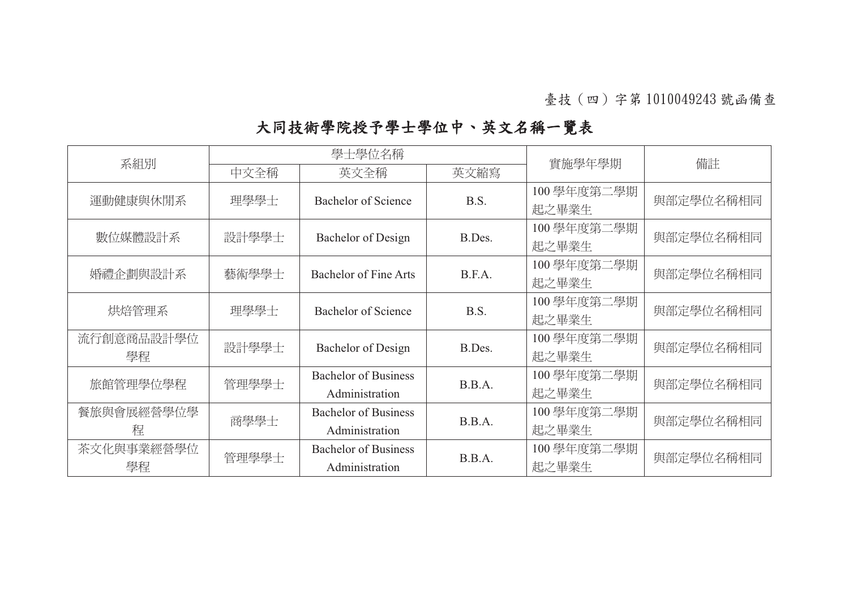| 系組別        | 學士學位名稱 |                              |        |            |           |
|------------|--------|------------------------------|--------|------------|-----------|
|            | 中文全稱   | 英文全稱                         | 英文縮寫   | 實施學年學期     | 備註        |
|            | 理學學士   | <b>Bachelor of Science</b>   | B.S.   | 100學年度第二學期 | 與部定學位名稱相同 |
| 運動健康與休閒系   |        |                              |        | 起之畢業生      |           |
| 數位媒體設計系    | 設計學學士  | Bachelor of Design           | B.Des. | 100學年度第二學期 | 與部定學位名稱相同 |
|            |        |                              |        | 起之畢業生      |           |
| 婚禮企劃與設計系   | 藝術學學士  | <b>Bachelor of Fine Arts</b> | B.F.A. | 100學年度第二學期 | 與部定學位名稱相同 |
|            |        |                              |        | 起之畢業生      |           |
| 烘焙管理系      | 理學學士   | <b>Bachelor of Science</b>   | B.S.   | 100學年度第二學期 | 與部定學位名稱相同 |
|            |        |                              |        | 起之畢業生      |           |
| 流行創意商品設計學位 | 設計學學士  | Bachelor of Design           | B.Des. | 100學年度第二學期 | 與部定學位名稱相同 |
| 學程         |        |                              |        | 起之畢業生      |           |
| 旅館管理學位學程   | 管理學學士  | <b>Bachelor of Business</b>  | B.B.A. | 100學年度第二學期 | 與部定學位名稱相同 |
|            |        | Administration               |        | 起之畢業生      |           |
| 餐旅與會展經營學位學 | 商學學士   | <b>Bachelor of Business</b>  | B.B.A. | 100學年度第二學期 | 與部定學位名稱相同 |
| 程          |        | Administration               |        | 起之畢業生      |           |
| 茶文化與事業經營學位 | 管理學學士  | <b>Bachelor of Business</b>  | B.B.A. | 100學年度第二學期 | 與部定學位名稱相同 |
| 學程         |        | Administration               |        | 起之畢業生      |           |

## 大同技術學院授予學士學位中、英文名稱一覽表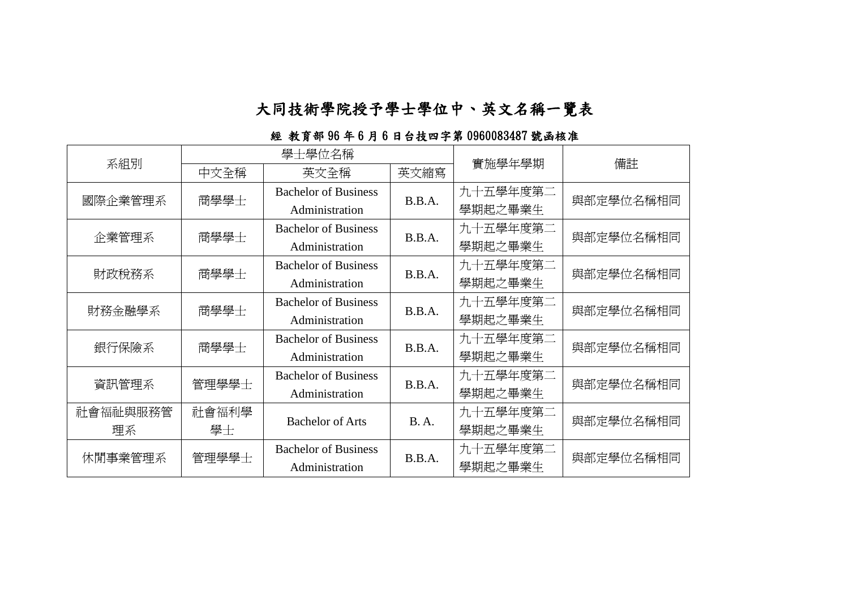### 大同技術學院授予學士學位中、英文名稱一覽表

| 系組別      | 學士學位名稱 |                             |             | 實施學年學期   | 備註        |
|----------|--------|-----------------------------|-------------|----------|-----------|
|          | 中文全稱   | 英文全稱                        | 英文縮寫        |          |           |
| 國際企業管理系  | 商學學士   | <b>Bachelor of Business</b> | B.B.A.      | 九十五學年度第二 | 與部定學位名稱相同 |
|          |        | Administration              |             | 學期起之畢業生  |           |
| 企業管理系    | 商學學士   | <b>Bachelor of Business</b> | B.B.A.      | 九十五學年度第二 | 與部定學位名稱相同 |
|          |        | Administration              |             | 學期起之畢業生  |           |
| 財政稅務系    | 商學學士   | <b>Bachelor of Business</b> | B.B.A.      | 九十五學年度第二 | 與部定學位名稱相同 |
|          |        | Administration              |             | 學期起之畢業生  |           |
| 財務金融學系   | 商學學士   | <b>Bachelor of Business</b> | B.B.A.      | 九十五學年度第二 | 與部定學位名稱相同 |
|          |        | Administration              |             | 學期起之畢業生  |           |
| 銀行保險系    | 商學學士   | <b>Bachelor of Business</b> | B.B.A.      | 九十五學年度第二 | 與部定學位名稱相同 |
|          |        | Administration              |             | 學期起之畢業生  |           |
| 資訊管理系    | 管理學學士  | <b>Bachelor of Business</b> | B.B.A.      | 九十五學年度第二 | 與部定學位名稱相同 |
|          |        | Administration              |             | 學期起之畢業生  |           |
| 社會福祉與服務管 | 社會福利學  | <b>Bachelor of Arts</b>     | <b>B.A.</b> | 九十五學年度第二 | 與部定學位名稱相同 |
| 理系       | 學士     |                             |             | 學期起之畢業生  |           |
| 休閒事業管理系  | 管理學學士  | <b>Bachelor of Business</b> | B.B.A.      | 九十五學年度第二 | 與部定學位名稱相同 |
|          |        | Administration              |             | 學期起之畢業生  |           |

#### 經 教育部 96 年 6 月 6 日台技四字第 0960083487 號函核准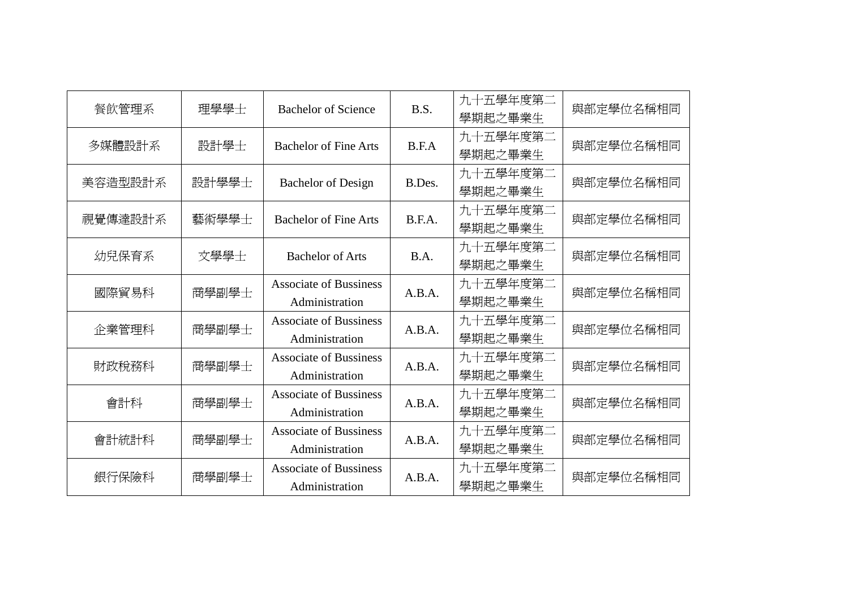| 餐飲管理系   | 理學學士  | <b>Bachelor of Science</b>                      | B.S.   | 九十五學年度第二<br>學期起之畢業生 | 與部定學位名稱相同 |
|---------|-------|-------------------------------------------------|--------|---------------------|-----------|
| 多媒體設計系  | 設計學士  | <b>Bachelor of Fine Arts</b>                    | B.F.A  | 九十五學年度第二<br>學期起之畢業生 | 與部定學位名稱相同 |
| 美容造型設計系 | 設計學學士 | <b>Bachelor of Design</b>                       | B.Des. | 九十五學年度第二<br>學期起之畢業生 | 與部定學位名稱相同 |
| 視覺傳達設計系 | 藝術學學士 | <b>Bachelor of Fine Arts</b>                    | B.F.A. | 九十五學年度第二<br>學期起之畢業生 | 與部定學位名稱相同 |
| 幼兒保育系   | 文學學士  | <b>Bachelor of Arts</b>                         | B.A.   | 九十五學年度第二<br>學期起之畢業生 | 與部定學位名稱相同 |
| 國際貿易科   | 商學副學士 | <b>Associate of Bussiness</b><br>Administration | A.B.A. | 九十五學年度第二<br>學期起之畢業生 | 與部定學位名稱相同 |
| 企業管理科   | 商學副學士 | <b>Associate of Bussiness</b><br>Administration | A.B.A. | 九十五學年度第二<br>學期起之畢業生 | 與部定學位名稱相同 |
| 財政稅務科   | 商學副學士 | <b>Associate of Bussiness</b><br>Administration | A.B.A. | 九十五學年度第二<br>學期起之畢業生 | 與部定學位名稱相同 |
| 會計科     | 商學副學士 | <b>Associate of Bussiness</b><br>Administration | A.B.A. | 九十五學年度第二<br>學期起之畢業生 | 與部定學位名稱相同 |
| 會計統計科   | 商學副學士 | <b>Associate of Bussiness</b><br>Administration | A.B.A. | 九十五學年度第二<br>學期起之畢業生 | 與部定學位名稱相同 |
| 銀行保險科   | 商學副學士 | <b>Associate of Bussiness</b><br>Administration | A.B.A. | 九十五學年度第二<br>學期起之畢業生 | 與部定學位名稱相同 |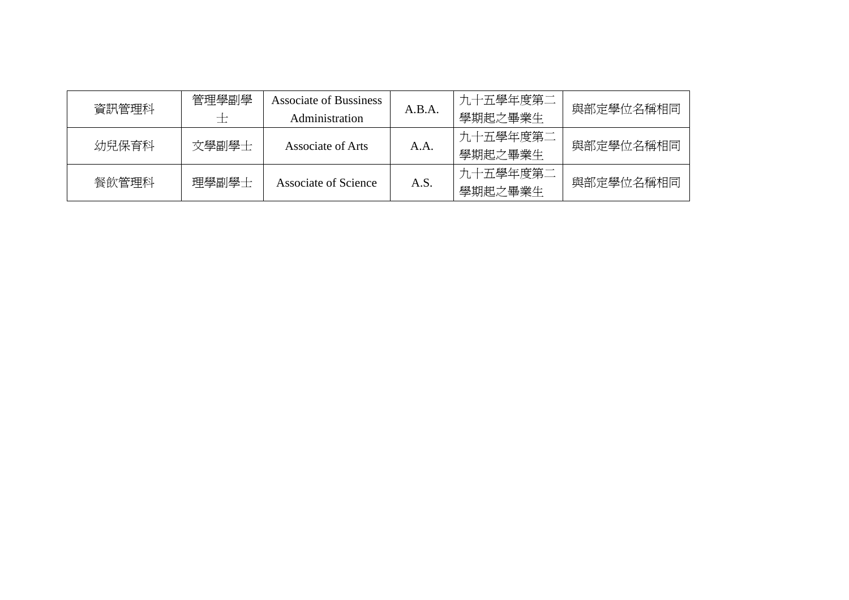| 資訊管理科 | 管理學副學<br>$\pm$ | Associate of Bussiness<br><b>Administration</b> | A.B.A. | 九十五學年度第二<br>學期起之畢業生 | 與部定學位名稱相同 |
|-------|----------------|-------------------------------------------------|--------|---------------------|-----------|
| 幼兒保育科 | 文學副學士          | Associate of Arts                               | A.A.   | 九十五學年度第二<br>學期起之畢業生 | 與部定學位名稱相同 |
| 餐飲管理科 | 理學副學士          | <b>Associate of Science</b>                     | A.S.   | 九十五學年度第二<br>學期起之畢業生 | 與部定學位名稱相同 |